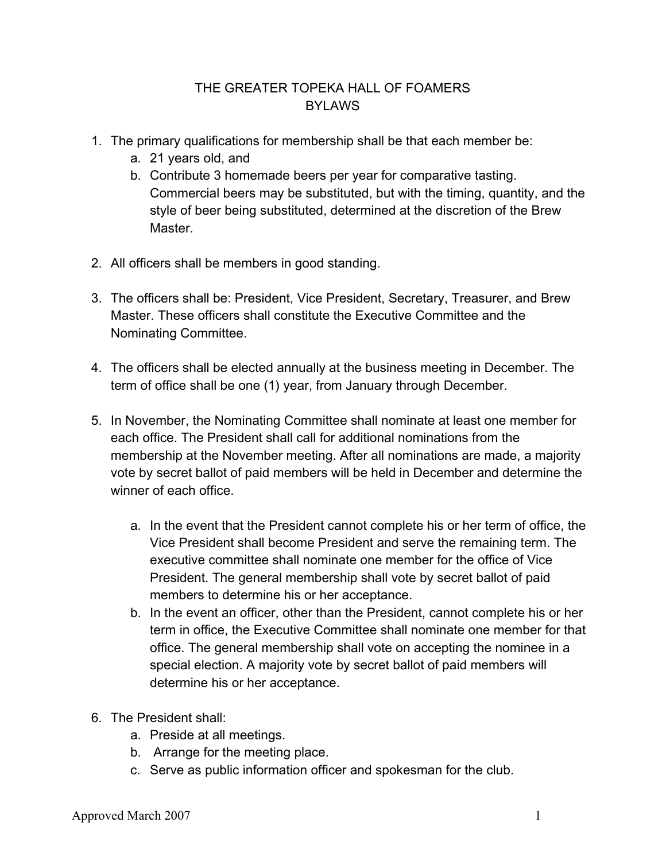## THE GREATER TOPEKA HALL OF FOAMERS BYLAWS

- 1. The primary qualifications for membership shall be that each member be:
	- a. 21 years old, and
	- b. Contribute 3 homemade beers per year for comparative tasting. Commercial beers may be substituted, but with the timing, quantity, and the style of beer being substituted, determined at the discretion of the Brew **Master**
- 2. All officers shall be members in good standing.
- 3. The officers shall be: President, Vice President, Secretary, Treasurer, and Brew Master. These officers shall constitute the Executive Committee and the Nominating Committee.
- 4. The officers shall be elected annually at the business meeting in December. The term of office shall be one (1) year, from January through December.
- 5. In November, the Nominating Committee shall nominate at least one member for each office. The President shall call for additional nominations from the membership at the November meeting. After all nominations are made, a majority vote by secret ballot of paid members will be held in December and determine the winner of each office.
	- a. In the event that the President cannot complete his or her term of office, the Vice President shall become President and serve the remaining term. The executive committee shall nominate one member for the office of Vice President. The general membership shall vote by secret ballot of paid members to determine his or her acceptance.
	- b. In the event an officer, other than the President, cannot complete his or her term in office, the Executive Committee shall nominate one member for that office. The general membership shall vote on accepting the nominee in a special election. A majority vote by secret ballot of paid members will determine his or her acceptance.
- 6. The President shall:
	- a. Preside at all meetings.
	- b. Arrange for the meeting place.
	- c. Serve as public information officer and spokesman for the club.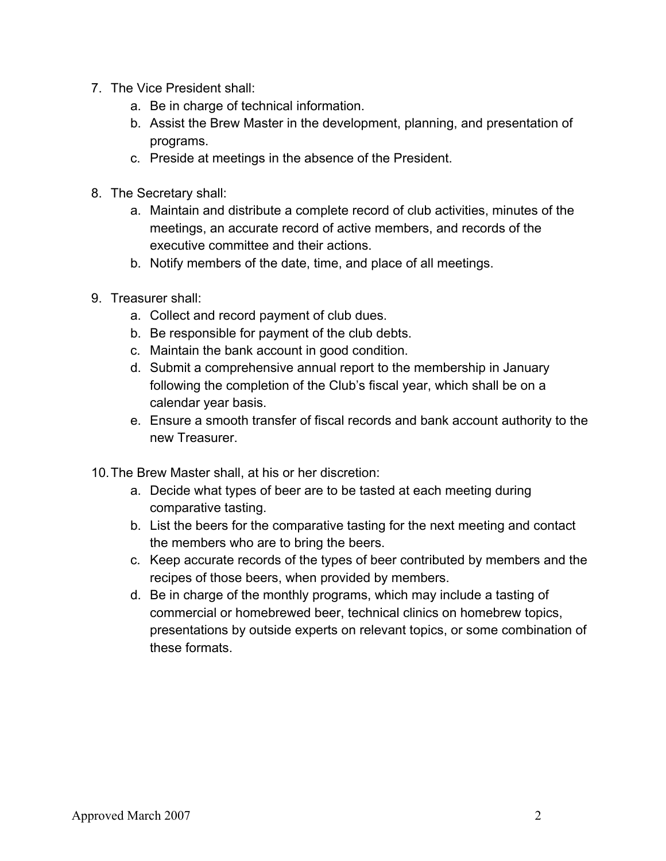- 7. The Vice President shall:
	- a. Be in charge of technical information.
	- b. Assist the Brew Master in the development, planning, and presentation of programs.
	- c. Preside at meetings in the absence of the President.
- 8. The Secretary shall:
	- a. Maintain and distribute a complete record of club activities, minutes of the meetings, an accurate record of active members, and records of the executive committee and their actions.
	- b. Notify members of the date, time, and place of all meetings.
- 9. Treasurer shall:
	- a. Collect and record payment of club dues.
	- b. Be responsible for payment of the club debts.
	- c. Maintain the bank account in good condition.
	- d. Submit a comprehensive annual report to the membership in January following the completion of the Club's fiscal year, which shall be on a calendar year basis.
	- e. Ensure a smooth transfer of fiscal records and bank account authority to the new Treasurer.
- 10.The Brew Master shall, at his or her discretion:
	- a. Decide what types of beer are to be tasted at each meeting during comparative tasting.
	- b. List the beers for the comparative tasting for the next meeting and contact the members who are to bring the beers.
	- c. Keep accurate records of the types of beer contributed by members and the recipes of those beers, when provided by members.
	- d. Be in charge of the monthly programs, which may include a tasting of commercial or homebrewed beer, technical clinics on homebrew topics, presentations by outside experts on relevant topics, or some combination of these formats.